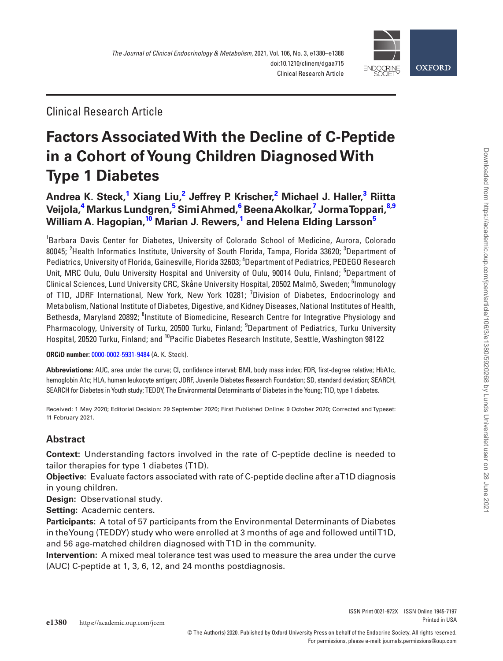

Clinical Research Article

# **Factors Associated With the Decline of C-Peptide in a Cohort of Young Children Diagnosed With Type 1 Diabetes**

**[Andrea K. Steck,](http://orcid.org/0000-0002-5931-9484)[1](#page-0-0) Xiang Liu[,2](#page-0-1) Jeffrey P. Krischer,[2](#page-0-1) Michael J. Haller[,3](#page-0-2) Riitta Veijola,[4](#page-0-3) Markus Lundgren,[5](#page-0-4) Simi Ahmed,[6](#page-0-5) Beena Akolkar[,7](#page-0-6) Jorma Toppari,[8](#page-0-7)[,9](#page-0-8) William A. Hagopian[,10](#page-0-9) Marian J. Rewers,[1](#page-0-0) and Helena Elding Larsso[n5](#page-0-4)**

<span id="page-0-6"></span><span id="page-0-5"></span><span id="page-0-4"></span><span id="page-0-3"></span><span id="page-0-2"></span><span id="page-0-1"></span><span id="page-0-0"></span>1 Barbara Davis Center for Diabetes, University of Colorado School of Medicine, Aurora, Colorado 80045; <sup>2</sup>Health Informatics Institute, University of South Florida, Tampa, Florida 33620; <sup>3</sup>Department of Pediatrics, University of Florida, Gainesville, Florida 32603; <sup>4</sup>Department of Pediatrics, PEDEGO Research Unit, MRC Oulu, Oulu University Hospital and University of Oulu, 90014 Oulu, Finland; <sup>5</sup>Department of Clinical Sciences, Lund University CRC, Skåne University Hospital, 20502 Malmö, Sweden; <sup>6</sup>lmmunology of T1D, JDRF International, New York, New York 10281; <sup>7</sup>Division of Diabetes, Endocrinology and Metabolism, National Institute of Diabetes, Digestive, and Kidney Diseases, National Institutes of Health, Bethesda, Maryland 20892; <sup>8</sup>Institute of Biomedicine, Research Centre for Integrative Physiology and Pharmacology, University of Turku, 20500 Turku, Finland; <sup>9</sup>Department of Pediatrics, Turku University Hospital, 20520 Turku, Finland; and <sup>10</sup>Pacific Diabetes Research Institute, Seattle, Washington 98122

<span id="page-0-9"></span><span id="page-0-8"></span><span id="page-0-7"></span>**ORCiD number:** [0000-0002-5931-9484](http://orcid.org/0000-0002-5931-9484) (A. K. Steck).

**Abbreviations:** AUC, area under the curve; CI, confidence interval; BMI, body mass index; FDR, first-degree relative; HbA1c, hemoglobin A1c; HLA, human leukocyte antigen; JDRF, Juvenile Diabetes Research Foundation; SD, standard deviation; SEARCH, SEARCH for Diabetes in Youth study; TEDDY, The Environmental Determinants of Diabetes in the Young; T1D, type 1 diabetes.

Received: 1 May 2020; Editorial Decision: 29 September 2020; First Published Online: 9 October 2020; Corrected and Typeset: 11 February 2021.

# **Abstract**

**Context:** Understanding factors involved in the rate of C-peptide decline is needed to tailor therapies for type 1 diabetes (T1D).

**Objective:** Evaluate factors associated with rate of C-peptide decline after a T1D diagnosis in young children.

**Design:** Observational study.

**Setting:** Academic centers.

**Participants:** A total of 57 participants from the Environmental Determinants of Diabetes in the Young (TEDDY) study who were enrolled at 3 months of age and followed until T1D, and 56 age-matched children diagnosed with T1D in the community.

**Intervention:** A mixed meal tolerance test was used to measure the area under the curve (AUC) C-peptide at 1, 3, 6, 12, and 24 months postdiagnosis.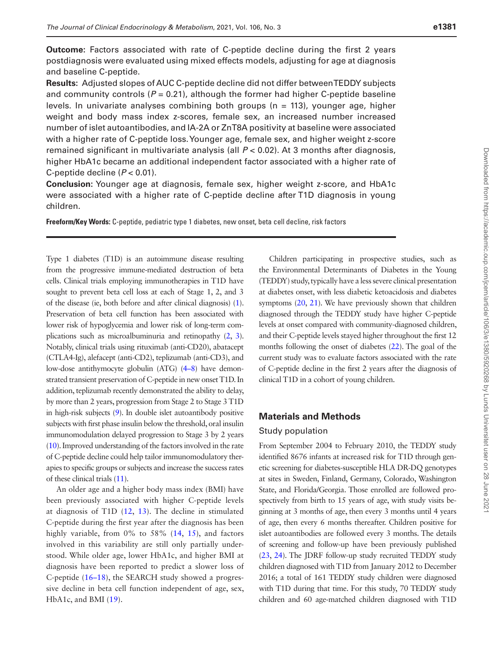**Outcome:** Factors associated with rate of C-peptide decline during the first 2 years postdiagnosis were evaluated using mixed effects models, adjusting for age at diagnosis and baseline C-peptide.

**Results:** Adjusted slopes of AUC C-peptide decline did not differ between TEDDY subjects and community controls  $(P = 0.21)$ , although the former had higher C-peptide baseline levels. In univariate analyses combining both groups ( $n = 113$ ), younger age, higher weight and body mass index z-scores, female sex, an increased number increased number of islet autoantibodies, and IA-2A or ZnT8A positivity at baseline were associated with a higher rate of C-peptide loss. Younger age, female sex, and higher weight z-score remained significant in multivariate analysis (all *P* < 0.02). At 3 months after diagnosis, higher HbA1c became an additional independent factor associated with a higher rate of C-peptide decline (*P* < 0.01).

**Conclusion:** Younger age at diagnosis, female sex, higher weight z-score, and HbA1c were associated with a higher rate of C-peptide decline after T1D diagnosis in young children.

**Freeform/Key Words:** C-peptide, pediatric type 1 diabetes, new onset, beta cell decline, risk factors

Type 1 diabetes (T1D) is an autoimmune disease resulting from the progressive immune-mediated destruction of beta cells. Clinical trials employing immunotherapies in T1D have sought to prevent beta cell loss at each of Stage 1, 2, and 3 of the disease (ie, both before and after clinical diagnosis) [\(1\)](#page-7-0). Preservation of beta cell function has been associated with lower risk of hypoglycemia and lower risk of long-term complications such as microalbuminuria and retinopathy [\(2,](#page-7-1) [3\)](#page-7-2). Notably, clinical trials using rituximab (anti-CD20), abatacept (CTLA4-Ig), alefacept (anti-CD2), teplizumab (anti-CD3), and low-dose antithymocyte globulin (ATG) [\(4–](#page-7-3)[8\)](#page-7-4) have demonstrated transient preservation of C-peptide in new onset T1D. In addition, teplizumab recently demonstrated the ability to delay, by more than 2 years, progression from Stage 2 to Stage 3 T1D in high-risk subjects [\(9](#page-7-5)). In double islet autoantibody positive subjects with first phase insulin below the threshold, oral insulin immunomodulation delayed progression to Stage 3 by 2 years [\(10](#page-7-6)). Improved understanding of the factors involved in the rate of C-peptide decline could help tailor immunomodulatory therapies to specific groups or subjects and increase the success rates of these clinical trials [\(11](#page-7-7)).

An older age and a higher body mass index (BMI) have been previously associated with higher C-peptide levels at diagnosis of T1D [\(12,](#page-7-8) [13\)](#page-7-9). The decline in stimulated C-peptide during the first year after the diagnosis has been highly variable, from 0% to 58% ([14](#page-7-10), [15](#page-7-11)), and factors involved in this variability are still only partially understood. While older age, lower HbA1c, and higher BMI at diagnosis have been reported to predict a slower loss of C-peptide ([16](#page-7-12)–[18](#page-7-13)), the SEARCH study showed a progressive decline in beta cell function independent of age, sex, HbA1c, and BMI [\(19\)](#page-7-14).

Children participating in prospective studies, such as the Environmental Determinants of Diabetes in the Young (TEDDY) study, typically have a less severe clinical presentation at diabetes onset, with less diabetic ketoacidosis and diabetes symptoms ([20](#page-7-15), [21\)](#page-8-0). We have previously shown that children diagnosed through the TEDDY study have higher C-peptide levels at onset compared with community-diagnosed children, and their C-peptide levels stayed higher throughout the first 12 months following the onset of diabetes [\(22\)](#page-8-1). The goal of the current study was to evaluate factors associated with the rate of C-peptide decline in the first 2 years after the diagnosis of clinical T1D in a cohort of young children.

#### **Materials and Methods**

#### Study population

From September 2004 to February 2010, the TEDDY study identified 8676 infants at increased risk for T1D through genetic screening for diabetes-susceptible HLA DR-DQ genotypes at sites in Sweden, Finland, Germany, Colorado, Washington State, and Florida/Georgia. Those enrolled are followed prospectively from birth to 15 years of age, with study visits beginning at 3 months of age, then every 3 months until 4 years of age, then every 6 months thereafter. Children positive for islet autoantibodies are followed every 3 months. The details of screening and follow-up have been previously published [\(23](#page-8-2), [24](#page-8-3)). The JDRF follow-up study recruited TEDDY study children diagnosed with T1D from January 2012 to December 2016; a total of 161 TEDDY study children were diagnosed with T1D during that time. For this study, 70 TEDDY study children and 60 age-matched children diagnosed with T1D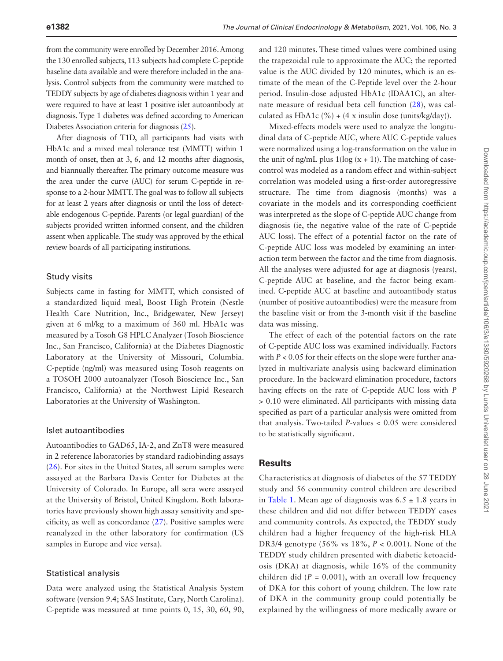from the community were enrolled by December 2016. Among the 130 enrolled subjects, 113 subjects had complete C-peptide baseline data available and were therefore included in the analysis. Control subjects from the community were matched to TEDDY subjects by age of diabetes diagnosis within 1 year and were required to have at least 1 positive islet autoantibody at diagnosis. Type 1 diabetes was defined according to American Diabetes Association criteria for diagnosis [\(25\)](#page-8-4).

After diagnosis of T1D, all participants had visits with HbA1c and a mixed meal tolerance test (MMTT) within 1 month of onset, then at 3, 6, and 12 months after diagnosis, and biannually thereafter. The primary outcome measure was the area under the curve (AUC) for serum C-peptide in response to a 2-hour MMTT. The goal was to follow all subjects for at least 2 years after diagnosis or until the loss of detectable endogenous C-peptide. Parents (or legal guardian) of the subjects provided written informed consent, and the children assent when applicable. The study was approved by the ethical review boards of all participating institutions.

#### Study visits

Subjects came in fasting for MMTT, which consisted of a standardized liquid meal, Boost High Protein (Nestle Health Care Nutrition, Inc., Bridgewater, New Jersey) given at 6 ml/kg to a maximum of 360 ml. HbA1c was measured by a Tosoh G8 HPLC Analyzer (Tosoh Bioscience Inc., San Francisco, California) at the Diabetes Diagnostic Laboratory at the University of Missouri, Columbia. C-peptide (ng/ml) was measured using Tosoh reagents on a TOSOH 2000 autoanalyzer (Tosoh Bioscience Inc., San Francisco, California) at the Northwest Lipid Research Laboratories at the University of Washington.

#### Islet autoantibodies

Autoantibodies to GAD65, IA-2, and ZnT8 were measured in 2 reference laboratories by standard radiobinding assays ([26](#page-8-5)). For sites in the United States, all serum samples were assayed at the Barbara Davis Center for Diabetes at the University of Colorado. In Europe, all sera were assayed at the University of Bristol, United Kingdom. Both laboratories have previously shown high assay sensitivity and specificity, as well as concordance [\(27](#page-8-6)). Positive samples were reanalyzed in the other laboratory for confirmation (US samples in Europe and vice versa).

#### Statistical analysis

Data were analyzed using the Statistical Analysis System software (version 9.4; SAS Institute, Cary, North Carolina). C-peptide was measured at time points 0, 15, 30, 60, 90,

and 120 minutes. These timed values were combined using the trapezoidal rule to approximate the AUC; the reported value is the AUC divided by 120 minutes, which is an estimate of the mean of the C-Peptide level over the 2-hour period. Insulin-dose adjusted HbA1c (IDAA1C), an alternate measure of residual beta cell function [\(28](#page-8-7)), was calculated as HbA1c  $(\%)+(4 \times \{ x \text{ insulin dose (units/kg/day)}).$ 

Mixed-effects models were used to analyze the longitudinal data of C-peptide AUC, where AUC C-peptide values were normalized using a log-transformation on the value in the unit of ng/mL plus  $1(log(x + 1))$ . The matching of casecontrol was modeled as a random effect and within-subject correlation was modeled using a first-order autoregressive structure. The time from diagnosis (months) was a covariate in the models and its corresponding coefficient was interpreted as the slope of C-peptide AUC change from diagnosis (ie, the negative value of the rate of C-peptide AUC loss). The effect of a potential factor on the rate of C-peptide AUC loss was modeled by examining an interaction term between the factor and the time from diagnosis. All the analyses were adjusted for age at diagnosis (years), C-peptide AUC at baseline, and the factor being examined. C-peptide AUC at baseline and autoantibody status (number of positive autoantibodies) were the measure from the baseline visit or from the 3-month visit if the baseline data was missing.

The effect of each of the potential factors on the rate of C-peptide AUC loss was examined individually. Factors with  $P < 0.05$  for their effects on the slope were further analyzed in multivariate analysis using backward elimination procedure. In the backward elimination procedure, factors having effects on the rate of C-peptide AUC loss with *P* > 0.10 were eliminated. All participants with missing data specified as part of a particular analysis were omitted from that analysis. Two-tailed *P*-values < 0.05 were considered to be statistically significant.

## **Results**

Characteristics at diagnosis of diabetes of the 57 TEDDY study and 56 community control children are described in [Table 1.](#page-3-0) Mean age of diagnosis was  $6.5 \pm 1.8$  years in these children and did not differ between TEDDY cases and community controls. As expected, the TEDDY study children had a higher frequency of the high-risk HLA DR3/4 genotype (56% vs 18%, *P* < 0.001). None of the TEDDY study children presented with diabetic ketoacidosis (DKA) at diagnosis, while 16% of the community children did  $(P = 0.001)$ , with an overall low frequency of DKA for this cohort of young children. The low rate of DKA in the community group could potentially be explained by the willingness of more medically aware or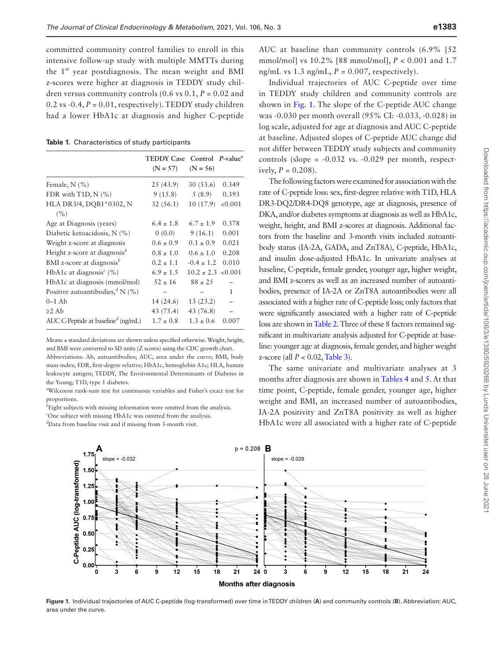committed community control families to enroll in this intensive follow-up study with multiple MMTTs during the 1<sup>st</sup> year postdiagnosis. The mean weight and BMI z-scores were higher at diagnosis in TEDDY study children versus community controls  $(0.6 \text{ vs } 0.1, P = 0.02 \text{ and }$ 0.2 vs  $-0.4$ ,  $P = 0.01$ , respectively). TEDDY study children had a lower HbA1c at diagnosis and higher C-peptide

<span id="page-3-0"></span>**Table 1.** Characteristics of study participants

|                                                  | TEDDY Case Control P-value <sup>a</sup> |                |         |
|--------------------------------------------------|-----------------------------------------|----------------|---------|
|                                                  | $(N = 57)$                              | $(N = 56)$     |         |
| Female, $N$ (%)                                  | 25(43.9)                                | 30(53.6)       | 0.349   |
| FDR with $T1D, N$ (%)                            | 9(15.8)                                 | 5(8.9)         | 0.393   |
| HLA DR3/4, DQB1*0302, N                          | 32(56.1)                                | 10(17.9)       | < 0.001 |
| (%)                                              |                                         |                |         |
| Age at Diagnosis (years)                         | $6.4 \pm 1.8$                           | $6.7 \pm 1.9$  | 0.378   |
| Diabetic ketoacidosis, N (%)                     | 0(0.0)                                  | 9(16.1)        | 0.001   |
| Weight z-score at diagnosis                      | $0.6 \pm 0.9$                           | $0.1 \pm 0.9$  | 0.021   |
| Height z-score at diagnosis <sup>b</sup>         | $0.8 \pm 1.0$                           | $0.6 \pm 1.0$  | 0.208   |
| BMI z-score at diagnosis <sup>b</sup>            | $0.2 \pm 1.1$                           | $-0.4 \pm 1.2$ | 0.010   |
| HbA1c at diagnosis <sup><math>c</math></sup> (%) | $6.9 \pm 1.5$                           | $10.2 \pm 2.3$ | < 0.001 |
| HbA1c at diagnosis (mmol/mol)                    | $.52 \pm 16$                            | $88 \pm 25$    |         |
| Positive autoantibodies, $^d$ N (%)              |                                         |                | 1       |
| $0-1$ Ab                                         | 14 (24.6)                               | 13(23.2)       |         |
| $\geq$ 2 Ab                                      | 43 (75.4)                               | 43 (76.8)      |         |
| AUC C-Peptide at baseline <sup>d</sup> (ng/mL)   | $1.7 \pm 0.8$                           | $1.3 \pm 0.6$  | 0.007   |

Means ± standard deviations are shown unless specified otherwise. Weight, height, and BMI were converted to SD units (Z scores) using the CDC growth chart. Abbreviations: Ab, autoantibodies; AUC, area under the curve; BMI, body mass index; FDR, first-degree relative; HbA1c, hemoglobin A1c; HLA, human leukocyte antigen; TEDDY, The Environmental Determinants of Diabetes in the Young; T1D, type 1 diabetes.

*a* Wilcoxon rank-sum test for continuous variables and Fisher's exact test for proportions.

*b* Eight subjects with missing information were omitted from the analysis.

*c* One subject with missing HbA1c was omitted from the analysis. *d* Data from baseline visit and if missing from 3-month visit.

AUC at baseline than community controls (6.9% [52 mmol/mol] vs 10.2% [88 mmol/mol], *P* < 0.001 and 1.7 ng/mL vs  $1.3$  ng/mL,  $P = 0.007$ , respectively).

Individual trajectories of AUC C-peptide over time in TEDDY study children and community controls are shown in [Fig. 1.](#page-3-1) The slope of the C-peptide AUC change was -0.030 per month overall (95% CI: -0.033, -0.028) in log scale, adjusted for age at diagnosis and AUC C-peptide at baseline. Adjusted slopes of C-peptide AUC change did not differ between TEDDY study subjects and community controls (slope =  $-0.032$  vs.  $-0.029$  per month, respectively,  $P = 0.208$ ).

The following factors were examined for association with the rate of C-peptide loss: sex, first-degree relative with T1D, HLA DR3-DQ2/DR4-DQ8 genotype, age at diagnosis, presence of DKA, and/or diabetes symptoms at diagnosis as well as HbA1c, weight, height, and BMI z-scores at diagnosis. Additional factors from the baseline and 3-month visits included autoantibody status (IA-2A, GADA, and ZnT8A), C-peptide, HbA1c, and insulin dose-adjusted HbA1c. In univariate analyses at baseline, C-peptide, female gender, younger age, higher weight, and BMI z-scores as well as an increased number of autoantibodies, presence of IA-2A or ZnT8A autoantibodies were all associated with a higher rate of C-peptide loss; only factors that were significantly associated with a higher rate of C-peptide loss are shown in [Table 2.](#page-4-0) Three of these 8 factors remained significant in multivariate analysis adjusted for C-peptide at baseline: younger age at diagnosis, female gender, and higher weight z-score (all *P* < 0.02, [Table 3\)](#page-4-1).

The same univariate and multivariate analyses at 3 months after diagnosis are shown in [Tables 4](#page-4-2) and [5.](#page-4-3) At that time point, C-peptide, female gender, younger age, higher weight and BMI, an increased number of autoantibodies, IA-2A positivity and ZnT8A positivity as well as higher HbA1c were all associated with a higher rate of C-peptide



<span id="page-3-1"></span>**Figure 1.** Individual trajectories of AUC C-peptide (log-transformed) over time in TEDDY children (**A**) and community controls (**B**). Abbreviation: AUC, area under the curve.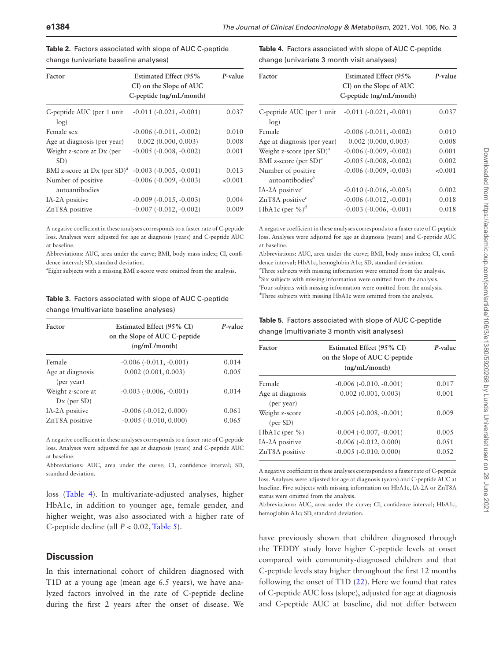| Factor                               | <b>Estimated Effect (95%</b><br>CI) on the Slope of AUC<br>$C$ -peptide $(ng/mL/month)$ | P-value |
|--------------------------------------|-----------------------------------------------------------------------------------------|---------|
| C-peptide AUC (per 1 unit)<br>log)   | $-0.011(-0.021,-0.001)$                                                                 | 0.037   |
| Female sex                           | $-0.006$ $(-0.011, -0.002)$                                                             | 0.010   |
| Age at diagnosis (per year)          | $0.002$ $(0.000, 0.003)$                                                                | 0.008   |
| Weight z-score at Dx (per<br>SD)     | $-0.005$ $(-0.008, -0.002)$                                                             | 0.001   |
| BMI z-score at Dx (per $SD^a$ )      | $-0.003(-0.005,-0.001)$                                                                 | 0.013   |
| Number of positive<br>autoantibodies | $-0.006$ $(-0.009, -0.003)$                                                             | < 0.001 |
| IA-2A positive                       | $-0.009$ $(-0.015, -0.003)$                                                             | 0.004   |
| ZnT8A positive                       | $-0.007 (-0.012, -0.002)$                                                               | 0.009   |

<span id="page-4-0"></span>**Table 2.** Factors associated with slope of AUC C-peptide change (univariate baseline analyses)

A negative coefficient in these analyses corresponds to a faster rate of C-peptide loss. Analyses were adjusted for age at diagnosis (years) and C-peptide AUC at baseline.

Abbreviations: AUC, area under the curve; BMI, body mass index; CI, confidence interval; SD, standard deviation.

*a* Eight subjects with a missing BMI z-score were omitted from the analysis.

<span id="page-4-1"></span>**Table 3.** Factors associated with slope of AUC C-peptide change (multivariate baseline analyses)

| Factor                             | Estimated Effect (95% CI)<br>on the Slope of AUC C-peptide<br>(ng/mL/month) | P-value |
|------------------------------------|-----------------------------------------------------------------------------|---------|
| Female                             | $-0.006(-0.011,-0.001)$                                                     | 0.014   |
| Age at diagnosis<br>(per year)     | 0.002(0.001, 0.003)                                                         | 0.005   |
| Weight z-score at<br>$Dx$ (per SD) | $-0.003$ $(-0.006, -0.001)$                                                 | 0.014   |
| IA-2A positive                     | $-0.006(-0.012, 0.000)$                                                     | 0.061   |
| ZnT8A positive                     | $-0.005$ $(-0.010, 0.000)$                                                  | 0.065   |

A negative coefficient in these analyses corresponds to a faster rate of C-peptide loss. Analyses were adjusted for age at diagnosis (years) and C-peptide AUC at baseline.

Abbreviations: AUC, area under the curve; CI, confidence interval; SD, standard deviation.

loss ([Table 4\)](#page-4-2). In multivariate-adjusted analyses, higher HbA1c, in addition to younger age, female gender, and higher weight, was also associated with a higher rate of C-peptide decline (all *P* < 0.02, [Table 5\)](#page-4-3).

#### **Discussion**

In this international cohort of children diagnosed with T1D at a young age (mean age 6.5 years), we have analyzed factors involved in the rate of C-peptide decline during the first 2 years after the onset of disease. We <span id="page-4-2"></span>**Table 4.** Factors associated with slope of AUC C-peptide change (univariate 3 month visit analyses)

| Factor                                            | <b>Estimated Effect (95%</b><br>CI) on the Slope of AUC<br>C-peptide (ng/mL/month) | P-value |
|---------------------------------------------------|------------------------------------------------------------------------------------|---------|
| C-peptide AUC (per 1 unit<br>log)                 | $-0.011 (-0.021, -0.001)$                                                          | 0.037   |
| Female                                            | $-0.006$ $(-0.011, -0.002)$                                                        | 0.010   |
| Age at diagnosis (per year)                       | $0.002$ $(0.000, 0.003)$                                                           | 0.008   |
| Weight z-score (per $SD$ ) <sup><i>a</i></sup>    | $-0.006$ $(-0.009, -0.002)$                                                        | 0.001   |
| BMI z-score (per SD) <sup>a</sup>                 | $-0.005$ $(-0.008, -0.002)$                                                        | 0.002   |
| Number of positive<br>autoantibodies <sup>b</sup> | $-0.006$ $(-0.009, -0.003)$                                                        | < 0.001 |
| IA-2A positive $\epsilon$                         | $-0.010$ $(-0.016, -0.003)$                                                        | 0.002   |
| ZnT8A positive $\epsilon$                         | $-0.006(-0.012,-0.001)$                                                            | 0.018   |
| HbA1c (per $\%$ ) <sup>d</sup>                    | $-0.003$ $(-0.006, -0.001)$                                                        | 0.018   |

A negative coefficient in these analyses corresponds to a faster rate of C-peptide loss. Analyses were adjusted for age at diagnosis (years) and C-peptide AUC at baseline.

Abbreviations: AUC, area under the curve; BMI, body mass index; CI, confidence interval; HbA1c, hemoglobin A1c; SD, standard deviation. *a* Three subjects with missing information were omitted from the analysis. *b* Six subjects with missing information were omitted from the analysis. *c* Four subjects with missing information were omitted from the analysis. *d* Three subjects with missing HbA1c were omitted from the analysis.

#### <span id="page-4-3"></span>**Table 5.** Factors associated with slope of AUC C-peptide change (multivariate 3 month visit analyses)

| Factor                              | Estimated Effect (95% CI)<br>on the Slope of AUC C-peptide<br>(ng/mL/month) | P-value        |
|-------------------------------------|-----------------------------------------------------------------------------|----------------|
| Female                              | $-0.006(-0.010,-0.001)$                                                     | 0.017          |
| Age at diagnosis<br>(per year)      | 0.002(0.001, 0.003)                                                         | 0.001          |
| Weight z-score<br>$(\text{per SD})$ | $-0.005$ $(-0.008, -0.001)$                                                 | 0.009          |
| HbA1c (per $\%$ )                   | $-0.004$ $(-0.007, -0.001)$                                                 | 0.005          |
| IA-2A positive<br>ZnT8A positive    | $-0.006$ $(-0.012, 0.000)$<br>$-0.005$ $(-0.010, 0.000)$                    | 0.051<br>0.052 |
|                                     |                                                                             |                |

A negative coefficient in these analyses corresponds to a faster rate of C-peptide loss. Analyses were adjusted for age at diagnosis (years) and C-peptide AUC at baseline. Five subjects with missing information on HbA1c, IA-2A or ZnT8A status were omitted from the analysis.

Abbreviations: AUC, area under the curve; CI, confidence interval; HbA1c, hemoglobin A1c; SD, standard deviation.

have previously shown that children diagnosed through the TEDDY study have higher C-peptide levels at onset compared with community-diagnosed children and that C-peptide levels stay higher throughout the first 12 months following the onset of T1D ([22\)](#page-8-1). Here we found that rates of C-peptide AUC loss (slope), adjusted for age at diagnosis and C-peptide AUC at baseline, did not differ between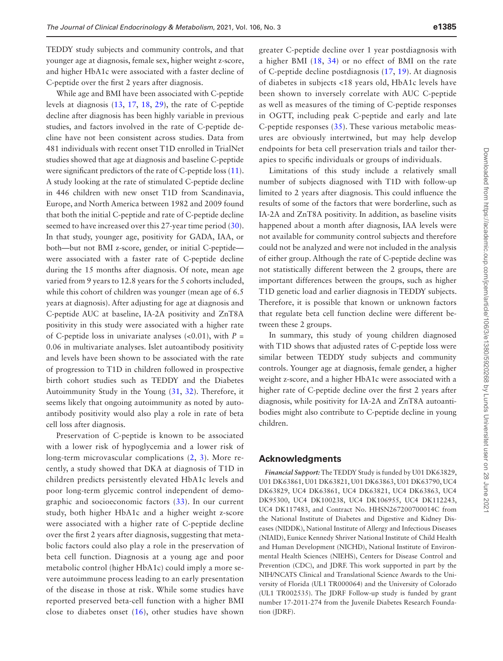TEDDY study subjects and community controls, and that younger age at diagnosis, female sex, higher weight z-score, and higher HbA1c were associated with a faster decline of C-peptide over the first 2 years after diagnosis.

While age and BMI have been associated with C-peptide levels at diagnosis ([13](#page-7-9), [17](#page-7-16), [18,](#page-7-13) [29\)](#page-8-8), the rate of C-peptide decline after diagnosis has been highly variable in previous studies, and factors involved in the rate of C-peptide decline have not been consistent across studies. Data from 481 individuals with recent onset T1D enrolled in TrialNet studies showed that age at diagnosis and baseline C-peptide were significant predictors of the rate of C-peptide loss [\(11](#page-7-7)). A study looking at the rate of stimulated C-peptide decline in 446 children with new onset T1D from Scandinavia, Europe, and North America between 1982 and 2009 found that both the initial C-peptide and rate of C-peptide decline seemed to have increased over this 27-year time period [\(30](#page-8-9)). In that study, younger age, positivity for GADA, IAA, or both—but not BMI z-score, gender, or initial C-peptide were associated with a faster rate of C-peptide decline during the 15 months after diagnosis. Of note, mean age varied from 9 years to 12.8 years for the 5 cohorts included, while this cohort of children was younger (mean age of 6.5 years at diagnosis). After adjusting for age at diagnosis and C-peptide AUC at baseline, IA-2A positivity and ZnT8A positivity in this study were associated with a higher rate of C-peptide loss in univariate analyses  $( $0.01$ ), with  $P =$$ 0.06 in multivariate analyses. Islet autoantibody positivity and levels have been shown to be associated with the rate of progression to T1D in children followed in prospective birth cohort studies such as TEDDY and the Diabetes Autoimmunity Study in the Young ([31](#page-8-10), [32](#page-8-11)). Therefore, it seems likely that ongoing autoimmunity as noted by autoantibody positivity would also play a role in rate of beta cell loss after diagnosis.

Preservation of C-peptide is known to be associated with a lower risk of hypoglycemia and a lower risk of long-term microvascular complications ([2](#page-7-1), [3\)](#page-7-2). More recently, a study showed that DKA at diagnosis of T1D in children predicts persistently elevated HbA1c levels and poor long-term glycemic control independent of demographic and socioeconomic factors [\(33\)](#page-8-12). In our current study, both higher HbA1c and a higher weight z-score were associated with a higher rate of C-peptide decline over the first 2 years after diagnosis, suggesting that metabolic factors could also play a role in the preservation of beta cell function. Diagnosis at a young age and poor metabolic control (higher HbA1c) could imply a more severe autoimmune process leading to an early presentation of the disease in those at risk. While some studies have reported preserved beta-cell function with a higher BMI close to diabetes onset [\(16\)](#page-7-12), other studies have shown

greater C-peptide decline over 1 year postdiagnosis with a higher BMI ([18](#page-7-13), [34](#page-8-13)) or no effect of BMI on the rate of C-peptide decline postdiagnosis ([17](#page-7-16), [19](#page-7-14)). At diagnosis of diabetes in subjects <18 years old, HbA1c levels have been shown to inversely correlate with AUC C-peptide as well as measures of the timing of C-peptide responses in OGTT, including peak C-peptide and early and late C-peptide responses  $(35)$ . These various metabolic measures are obviously intertwined, but may help develop endpoints for beta cell preservation trials and tailor therapies to specific individuals or groups of individuals.

Limitations of this study include a relatively small number of subjects diagnosed with T1D with follow-up limited to 2 years after diagnosis. This could influence the results of some of the factors that were borderline, such as IA-2A and ZnT8A positivity. In addition, as baseline visits happened about a month after diagnosis, IAA levels were not available for community control subjects and therefore could not be analyzed and were not included in the analysis of either group. Although the rate of C-peptide decline was not statistically different between the 2 groups, there are important differences between the groups, such as higher T1D genetic load and earlier diagnosis in TEDDY subjects. Therefore, it is possible that known or unknown factors that regulate beta cell function decline were different between these 2 groups.

In summary, this study of young children diagnosed with T1D shows that adjusted rates of C-peptide loss were similar between TEDDY study subjects and community controls. Younger age at diagnosis, female gender, a higher weight z-score, and a higher HbA1c were associated with a higher rate of C-peptide decline over the first 2 years after diagnosis, while positivity for IA-2A and ZnT8A autoantibodies might also contribute to C-peptide decline in young children.

#### **Acknowledgments**

*Financial Support:* The TEDDY Study is funded by U01 DK63829, U01 DK63861, U01 DK63821, U01 DK63863, U01 DK63790, UC4 DK63829, UC4 DK63861, UC4 DK63821, UC4 DK63863, UC4 DK95300, UC4 DK100238, UC4 DK106955, UC4 DK112243, UC4 DK117483, and Contract No. HHSN267200700014C from the National Institute of Diabetes and Digestive and Kidney Diseases (NIDDK), National Institute of Allergy and Infectious Diseases (NIAID), Eunice Kennedy Shriver National Institute of Child Health and Human Development (NICHD), National Institute of Environmental Health Sciences (NIEHS), Centers for Disease Control and Prevention (CDC), and JDRF. This work supported in part by the NIH/NCATS Clinical and Translational Science Awards to the University of Florida (UL1 TR000064) and the University of Colorado (UL1 TR002535). The JDRF Follow-up study is funded by grant number 17-2011-274 from the Juvenile Diabetes Research Foundation (JDRF).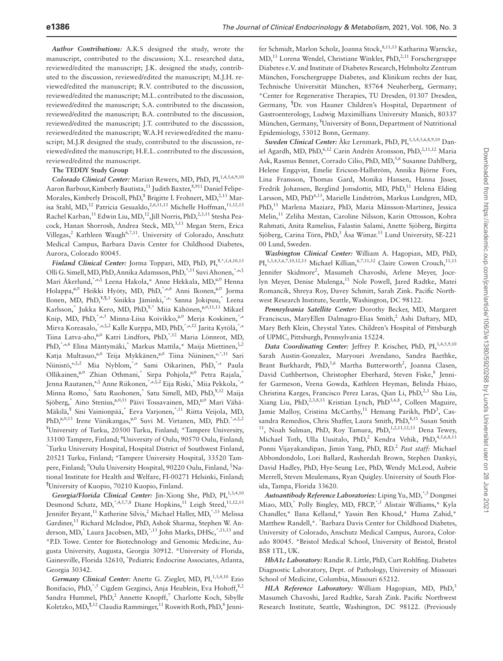*Author Contributions:* A.K.S designed the study, wrote the manuscript, contributed to the discussion; X.L. researched data, reviewed/edited the manuscript; J.K. designed the study, contributed to the discussion, reviewed/edited the manuscript; M.J.H. reviewed/edited the manuscript; R.V. contributed to the discussion, reviewed/edited the manuscript; M.L. contributed to the discussion, reviewed/edited the manuscript; S.A. contributed to the discussion, reviewed/edited the manuscript; B.A. contributed to the discussion, reviewed/edited the manuscript; J.T. contributed to the discussion, reviewed/edited the manuscript; W.A.H reviewed/edited the manuscript; M.J.R designed the study, contributed to the discussion, reviewed/edited the manuscript; H.E.L. contributed to the discussion, reviewed/edited the manuscript.

#### **The TEDDY Study Group**

*Colorado Clinical Center: Marian Rewers, MD, PhD, PI,<sup>1,4,5,6,9,10</sup>* Aaron Barbour, Kimberly Bautista,<sup>11</sup> Judith Baxter,<sup>8,911</sup> Daniel Felipe-Morales, Kimberly Driscoll, PhD,<sup>8</sup> Brigitte I. Frohnert, MD,<sup>2,13</sup> Marisa Stahl, MD,<sup>12</sup> Patricia Gesualdo,<sup>2,6,11,13</sup> Michelle Hoffman,<sup>11,12,13</sup> Rachel Karban,<sup>11</sup> Edwin Liu, MD,<sup>12</sup>,Jill Norris, PhD,<sup>2,3,11</sup> Stesha Peacock, Hanan Shorrosh, Andrea Steck, MD,<sup>3,13</sup> Megan Stern, Erica Villegas,<sup>2</sup> Kathleen Waugh<sup>6,7,11</sup>. University of Colorado, Anschutz Medical Campus, Barbara Davis Center for Childhood Diabetes, Aurora, Colorado 80045.

*Finland Clinical Center:* Jorma Toppari, MD, PhD, PI,¥,^,1,4,10,13 Olli G. Simell, MD, PhD, Annika Adamsson, PhD,^,11 Suvi Ahonen,\*,±,§ Mari Åkerlund, \*,±,§ Leena Hakola, \* Anne Hekkala, MD,<sup>n,o</sup> Henna Holappa,<sup>n,¤</sup> Heikki Hyöty, MD, PhD,<sup>\*,±,6</sup> Anni Ikonen,<sup>n,¤</sup> Jorma Ilonen, MD, PhD,<sup>¥,¶,3</sup> Sinikka Jäminki,<sup>\*,±,</sup> Sanna Jokipuu,<sup>^</sup> Leena Karlsson,^ Jukka Kero, MD, PhD,<sup>¥,^</sup> Miia Kähönen,<sup>µ,¤,11,13</sup> Mikael Knip, MD, PhD, \*,±,5 Minna-Liisa Koivikko, "," Merja Koskinen, \*,± Mirva Koreasalo,<sup>\*,±,§,2</sup> Kalle Kurppa, MD, PhD,<sup>\*,±,12</sup> Jarita Kytölä,<sup>\*,±</sup> Tiina Latva-aho,<sup>µ,¤</sup> Katri Lindfors, PhD,<sup>\*,12</sup> Maria Lönnrot, MD, PhD, \*,±,6 Elina Mäntymäki,^ Markus Mattila,\* Maija Miettinen, \$,2 Katja Multasuo,<br/> $^{\mathfrak{u},\mathfrak{v}}$  Teija Mykkänen,<br> $^{\mathfrak{u},\mathfrak{v}}$ Tiina Niininen,<br><br/>\*.<br>\*,\*11 Sari Niinistö,±,§,2 Mia Nyblom,\*,± Sami Oikarinen, PhD,\*,± Paula Ollikainen,<sup>µ,¤</sup> Zhian Othmani,<sup>^</sup> Sirpa Pohjola,<sup>n,¤</sup> Petra Rajala,<sup>^</sup> Jenna Rautanen,±,§ Anne Riikonen,\*,±,§,2 Eija Riski,^ Miia Pekkola,\*,± Minna Romo,^ Satu Ruohonen,^ Satu Simell, MD, PhD,<sup>¥,12</sup> Maija Sjöberg,<sup>^</sup> Aino Stenius,<sup>µ,¤,11</sup> Päivi Tossavainen, MD,<sup>µ,¤</sup> Mari Vähä-Mäkilä,<sup>¥</sup> Sini Vainionpää,^ Eeva Varjonen,<sup>^,11</sup> Riitta Veijola, MD, PhD, $\mu$ , $\alpha$ ,13 Irene Viinikangas, $\mu$ , $\alpha$  Suvi M. Virtanen, MD, PhD.<sup>\*</sup>, $\pm$ , §,2 ¥ University of Turku, 20500 Turku, Finland; \*Tampere University, 33100 Tampere, Finland; "University of Oulu, 90570 Oulu, Finland;<br>^Turku University Hospital, Hospital District of Southwest Finland; Turku University Hospital, Hospital District of Southwest Finland, 20521 Turku, Finland; <sup>±</sup> Tampere University Hospital, 33520 Tampere, Finland; <sup>o</sup>Oulu University Hospital, 90220 Oulu, Finland, <sup>§</sup>National Institute for Health and Welfare, FI-00271 Helsinki, Finland; ¶ University of Kuopio, 70210 Kuopio, Finland.

Georgia/Florida Clinical Center: Jin-Xiong She, PhD, PI,<sup>1,3,4,10</sup> Desmond Schatz, MD,<sup>\*,4,5,7,8</sup> Diane Hopkins,<sup>11</sup> Leigh Steed,<sup>11,12,13</sup> Jennifer Bryant,<sup>11</sup> Katherine Silvis,<sup>2</sup> Michael Haller, MD,<sup>\*,13</sup> Melissa Gardiner,<sup>11</sup> Richard McIndoe, PhD, Ashok Sharma, Stephen W. Anderson, MD,<sup>^</sup> Laura Jacobsen, MD,<sup>\*,13</sup> John Marks, DHSc,<sup>\*,11,13</sup> and \*P.D. Towe. Center for Biotechnology and Genomic Medicine, Augusta University, Augusta, Georgia 30912. \*University of Florida, Gainesville, Florida 32610, ^ Pediatric Endocrine Associates, Atlanta, Georgia 30342.

Germany Clinical Center: Anette G. Ziegler, MD, PI,<sup>1,3,4,10</sup> Ezio Bonifacio, PhD,<sup>\*,5</sup> Cigdem Gezginci, Anja Heublein, Eva Hohoff,<sup>Y,2</sup> Sandra Hummel, PhD,<sup>2</sup> Annette Knopff,<sup>7</sup> Charlotte Koch, Sibylle Koletzko, MD, <sup>¶, 12</sup> Claudia Ramminger, <sup>11</sup> Roswith Roth, PhD, <sup>8</sup> Jenni-

fer Schmidt, Marlon Scholz, Joanna Stock, 8,11,13 Katharina Warncke, MD,<sup>13</sup> Lorena Wendel, Christiane Winkler, PhD,<sup>2,11</sup> Forschergruppe Diabetes e.V. and Institute of Diabetes Research, Helmholtz Zentrum München, Forschergruppe Diabetes, and Klinikum rechts der Isar, Technische Universität München, 85764 Neuherberg, Germany; \*Center for Regenerative Therapies, TU Dresden, 01307 Dresden, Germany, ¶ Dr. von Hauner Children's Hospital, Department of Gastroenterology, Ludwig Maximillians University Munich, 80337 München, Germany, <sup>¥</sup>University of Bonn, Department of Nutritional Epidemiology, 53012 Bonn, Germany.

*Sweden Clinical Center:* Åke Lernmark, PhD, PI,<sup>1,3,4,5,6,8,9,10</sup> Daniel Agardh, MD, PhD,<sup>6,12</sup> Carin Andrén Aronsson, PhD,<sup>2,11,12</sup> Maria Ask, Rasmus Bennet, Corrado Cilio, PhD, MD,<sup>5,6</sup> Susanne Dahlberg, Helene Engqvist, Emelie Ericson-Hallström, Annika Björne Fors, Lina Fransson, Thomas Gard, Monika Hansen, Hanna Jisser, Fredrik Johansen, Berglind Jonsdottir, MD, PhD,<sup>11</sup> Helena Elding Larsson, MD, PhD<sup>6,13</sup>, Marielle Lindström, Markus Lundgren, MD, PhD,13 Marlena Maziarz, PhD, Maria Månsson-Martinez, Jessica Melin,<sup>11</sup> Zeliha Mestan, Caroline Nilsson, Karin Ottosson, Kobra Rahmati, Anita Ramelius, Falastin Salami, Anette Sjöberg, Birgitta Sjöberg, Carina Törn, PhD,<sup>3</sup> Åsa Wimar.<sup>13</sup> Lund University, SE-221 00 Lund, Sweden.

*Washington Clinical Center:* William A. Hagopian, MD, PhD,  $PI_{n}^{1,3,4,5,6,7,10,12,13}$  Michael Killian,<sup>6,7,11,12</sup> Claire Cowen Crouch,<sup>11,13</sup> Jennifer Skidmore<sup>2</sup>, Masumeh Chavoshi, Arlene Meyer, Jocelyn Meyer, Denise Mulenga,<sup>11</sup> Nole Powell, Jared Radtke, Matei Romancik, Shreya Roy, Davey Schmitt, Sarah Zink. Pacific Northwest Research Institute, Seattle, Washington, DC 98122.

*Pennsylvania Satellite Center:* Dorothy Becker, MD, Margaret Franciscus, MaryEllen Dalmagro-Elias Smith,<sup>2</sup> Ashi Daftary, MD, Mary Beth Klein, Chrystal Yates. Children's Hospital of Pittsburgh of UPMC, Pittsburgh, Pennsylvania 15224.

Data Coordinating Center: Jeffrey P. Krischer, PhD, PI,<sup>1,4,5,9,10</sup> Sarah Austin-Gonzalez, Maryouri Avendano, Sandra Baethke, Brant Burkhardt, PhD,<sup>5,6</sup> Martha Butterworth<sup>2</sup>, Joanna Clasen, David Cuthbertson, Christopher Eberhard, Steven Fiske,<sup>8</sup> Jennifer Garmeson, Veena Gowda, Kathleen Heyman, Belinda Hsiao, Christina Karges, Francisco Perez Laras, Qian Li, PhD,<sup>2,3</sup> Shu Liu, Xiang Liu, PhD,<sup>2,3,8,13</sup> Kristian Lynch, PhD<sup>5,6,8</sup>, Colleen Maguire, Jamie Malloy, Cristina McCarthy,<sup>11</sup> Hemang Parikh, PhD<sup>3</sup>, Cassandra Remedios, Chris Shaffer, Laura Smith, PhD,  ${}^{8,11}$  Susan Smith  ${}^{11}$ , Noah Sulman, PhD, Roy Tamura, PhD,  ${}^{1,2,11,12,13}$  Dena Tewey, Michael Toth, Ulla Uusitalo, PhD,<sup>2</sup> Kendra Vehik, PhD,<sup>4,5,6,8,13</sup> Ponni Vijayakandipan, Jimin Yang, PhD, RD.<sup>2</sup> Past staff: Michael Abbondondolo, Lori Ballard, Rasheedah Brown, Stephen Dankyi, David Hadley, PhD, Hye-Seung Lee, PhD, Wendy McLeod, Aubrie Merrell, Steven Meulemans, Ryan Quigley. University of South Florida, Tampa, Florida 33620.

*Autoantibody Reference Laboratories:* Liping Yu, MD,^,5 Dongmei Miao, MD, Polly Bingley, MD, FRCP, 5 Alistair Williams,\* Kyla Chandler,\* Ilana Kelland,\* Yassin Ben Khoud,\* Huma Zahid,\* Matthew Randell,\*. ^ Barbara Davis Center for Childhood Diabetes, University of Colorado, Anschutz Medical Campus, Aurora, Colorado 80045. \*Bristol Medical School, University of Bristol, Bristol BS8 1TL, UK.

*HbA1c Laboratory:* Randie R. Little, PhD, Curt Rohlfing. Diabetes Diagnostic Laboratory, Dept. of Pathology, University of Missouri School of Medicine, Columbia, Missouri 65212.

*HLA Reference Laboratory:* William Hagopian, MD, PhD,<sup>3</sup> Masumeh Chavoshi, Jared Radtke, Sarah Zink. Pacific Northwest Research Institute, Seattle, Washington, DC 98122. (Previously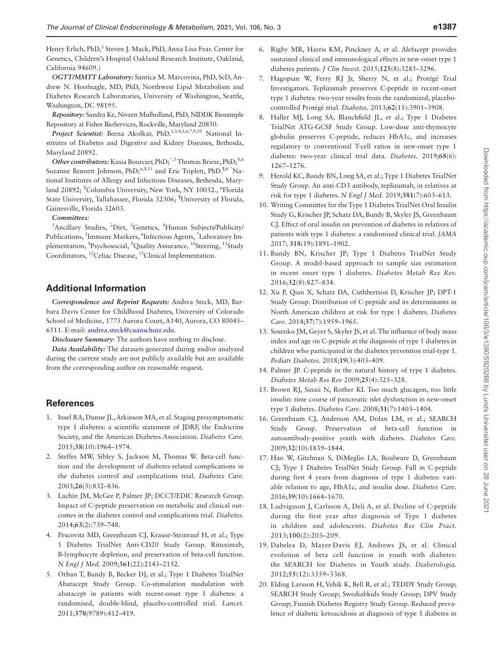Henry Erlich, PhD,<sup>3</sup> Steven J. Mack, PhD, Anna Lisa Fear. Center for Genetics, Children's Hospital Oakland Research Institute, Oakland, California 94609.)

*OGTT/MMTT Laboratory:* Santica M. Marcovina, PhD, ScD, Andrew N. Hoofnagle, MD, PhD, Northwest Lipid Metabolism and Diabetes Research Laboratories, University of Washington, Seattle, Washington, DC 98195.

*Repository:* Sandra Ke, Niveen Mulholland, PhD, NIDDK Biosample Repository at Fisher BioServices, Rockville, Maryland 20850.

Project Scientist: Beena Akolkar, PhD.<sup>1,3,4,5,6,7,9,10</sup> National Institutes of Diabetes and Digestive and Kidney Diseases, Bethesda, Maryland 20892.

*Other contributors:* Kasia Bourcier, PhD;\*,5 Thomas Briese, PhD;¥,6 Suzanne Bennett Johnson, PhD;<sup> $\mu$ ,8,11</sup> and Eric Triplett, PhD.<sup> $\mu$ ,6 \*</sup>National Institutes of Allergy and Infectious Diseases, Bethesda, Maryland 20892; <sup>¥</sup>Columbia University, New York, NY 10032., <sup>µ</sup>Florida State University, Tallahassee, Florida 32306; ¶ University of Florida, Gainesville, Florida 32603.

#### *Committees:*

<sup>1</sup>Ancillary Studies, <sup>2</sup>Diet, <sup>3</sup>Genetics, <sup>4</sup>Human Subjects/Publicity/ Publications, <sup>5</sup>Immune Markers, <sup>6</sup>Infectious Agents, <sup>7</sup>Laboratory Implementation, <sup>8</sup>Psychosocial, <sup>9</sup>Quality Assurance, <sup>10</sup>Steering, <sup>11</sup>Study Coordinators, 12Celiac Disease, 13Clinical Implementation.

### **Additional Information**

*Correspondence and Reprint Requests:* Andrea Steck, MD, Barbara Davis Center for Childhood Diabetes, University of Colorado School of Medicine, 1775 Aurora Court, A140, Aurora, CO 80045– 6511. E-mail: [andrea.steck@cuanschutz.edu](mailto:andrea.steck@cuanschutz.edu?subject=).

*Disclosure Summary*: The authors have nothing to disclose.

*Data Availability:* The datasets generated during and/or analyzed during the current study are not publicly available but are available from the corresponding author on reasonable request.

#### **References**

- <span id="page-7-0"></span>1. Insel RA, Dunne JL, Atkinson MA, et al. Staging presymptomatic type 1 diabetes: a scientific statement of JDRF, the Endocrine Society, and the American Diabetes Association. *Diabetes Care.* 2015;**38**(10):1964–1974.
- <span id="page-7-1"></span>2. Steffes MW, Sibley S, Jackson M, Thomas W. Beta-cell function and the development of diabetes-related complications in the diabetes control and complications trial. *Diabetes Care.* 2003;**26**(3):832–836.
- <span id="page-7-2"></span>3. Lachin JM, McGee P, Palmer JP; DCCT/EDIC Research Group. Impact of C-peptide preservation on metabolic and clinical outcomes in the diabetes control and complications trial. *Diabetes.* 2014;**63**(2):739–748.
- <span id="page-7-3"></span>4. Pescovitz MD, Greenbaum CJ, Krause-Steinrauf H, et al.; Type 1 Diabetes TrialNet Anti-CD20 Study Group. Rituximab, B-lymphocyte depletion, and preservation of beta-cell function. *N Engl J Med.* 2009;**361**(22):2143–2152.
- 5. Orban T, Bundy B, Becker DJ, et al.; Type 1 Diabetes TrialNet Abatacept Study Group. Co-stimulation modulation with abatacept in patients with recent-onset type 1 diabetes: a randomised, double-blind, placebo-controlled trial. *Lancet.* 2011;**378**(9789):412–419.
- 6. Rigby MR, Harris KM, Pinckney A, et al. Alefacept provides sustained clinical and immunological effects in new-onset type 1 diabetes patients. *J Clin Invest.* 2015;**125**(8):3285–3296.
- 7. Hagopian W, Ferry RJ Jr, Sherry N, et al.; Protégé Trial Investigators. Teplizumab preserves C-peptide in recent-onset type 1 diabetes: two-year results from the randomized, placebocontrolled Protégé trial. *Diabetes.* 2013;**62**(11):3901–3908.
- <span id="page-7-4"></span>8. Haller MJ, Long SA, Blanchfield JL, et al.; Type 1 Diabetes TrialNet ATG-GCSF Study Group. Low-dose anti-thymocyte globulin preserves C-peptide, reduces HbA1c, and increases regulatory to conventional T-cell ratios in new-onset type 1 diabetes: two-year clinical trial data. *Diabetes.* 2019;**68**(6): 1267–1276.
- <span id="page-7-5"></span>9. Herold KC, Bundy BN, Long SA, et al.; Type 1 Diabetes TrialNet Study Group. An anti-CD3 antibody, teplizumab, in relatives at risk for type 1 diabetes. *N Engl J Med.* 2019;**381**(7):603–613.
- <span id="page-7-6"></span>10. Writing Committee for the Type 1 Diabetes TrialNet Oral Insulin Study G, Krischer JP, Schatz DA, Bundy B, Skyler JS, Greenbaum CJ. Effect of oral insulin on prevention of diabetes in relatives of patients with type 1 diabetes: a randomized clinical trial. *JAMA* 2017; **318**(19):1891–1902.
- <span id="page-7-7"></span>11. Bundy BN, Krischer JP; Type 1 Diabetes TrialNet Study Group. A model-based approach to sample size estimation in recent onset type 1 diabetes. *Diabetes Metab Res Rev.* 2016;**32**(8):827–834.
- <span id="page-7-8"></span>12. Xu P, Qian X, Schatz DA, Cuthbertson D, Krischer JP; DPT-1 Study Group. Distribution of C-peptide and its determinants in North American children at risk for type 1 diabetes. *Diabetes Care.* 2014;**37**(7):1959–1965.
- <span id="page-7-9"></span>13. Sosenko JM, Geyer S, Skyler JS, et al. The influence of body mass index and age on C-peptide at the diagnosis of type 1 diabetes in children who participated in the diabetes prevention trial-type 1. *Pediatr Diabetes.* 2018;**19**(3):403–409.
- <span id="page-7-10"></span>14. Palmer JP. C-peptide in the natural history of type 1 diabetes. *Diabetes Metab Res Rev* 2009;**25**(4):325–328.
- <span id="page-7-11"></span>15. Brown RJ, Sinaii N, Rother KI. Too much glucagon, too little insulin: time course of pancreatic islet dysfunction in new-onset type 1 diabetes. *Diabetes Care.* 2008;**31**(7):1403–1404.
- <span id="page-7-12"></span>16. Greenbaum CJ, Anderson AM, Dolan LM, et al.; SEARCH Study Group. Preservation of beta-cell function in autoantibody-positive youth with diabetes. *Diabetes Care.* 2009;**32**(10):1839–1844.
- <span id="page-7-16"></span>17. Hao W, Gitelman S, DiMeglio LA, Boulware D, Greenbaum CJ; Type 1 Diabetes TrialNet Study Group. Fall in C-peptide during first 4 years from diagnosis of type 1 diabetes: variable relation to age, HbA1c, and insulin dose. *Diabetes Care.* 2016;**39**(10):1664–1670.
- <span id="page-7-13"></span>18. Ludvigsson J, Carlsson A, Deli A, et al. Decline of C-peptide during the first year after diagnosis of Type 1 diabetes in children and adolescents. *Diabetes Res Clin Pract.* 2013;**100**(2):203–209.
- <span id="page-7-14"></span>19. Dabelea D, Mayer-Davis EJ, Andrews JS, et al. Clinical evolution of beta cell function in youth with diabetes: the SEARCH for Diabetes in Youth study. *Diabetologia.* 2012;**55**(12):3359–3368.
- <span id="page-7-15"></span>20. Elding Larsson H, Vehik K, Bell R, et al.; TEDDY Study Group; SEARCH Study Group; Swediabkids Study Group; DPV Study Group; Finnish Diabetes Registry Study Group. Reduced prevalence of diabetic ketoacidosis at diagnosis of type 1 diabetes in